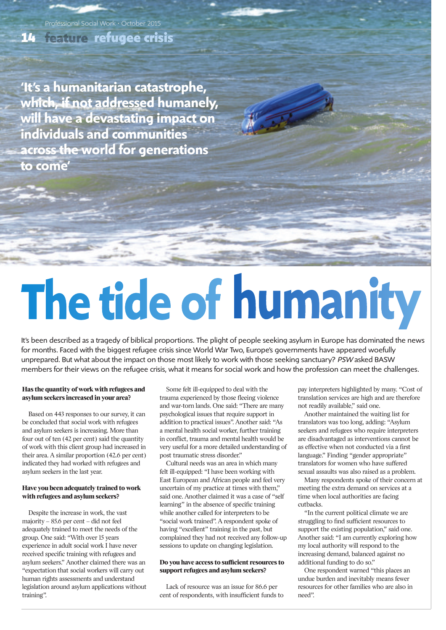**refugee crisis 14**

Professional Social Work • October 2015

**'It's a humanitarian catastrophe, which, if not addressed humanely, will have a devastating impact on individuals and communities across the world for generations to come'**

# The tide of humanity

It's been described as a tragedy of biblical proportions. The plight of people seeking asylum in Europe has dominated the news for months. Faced with the biggest refugee crisis since World War Two, Europe's governments have appeared woefully unprepared. But what about the impact on those most likely to work with those seeking sanctuary? *PSW* asked BASW members for their views on the refugee crisis, what it means for social work and how the profession can meet the challenges.

## **Has the quantity of work with refugees and asylum seekers increased in your area?**

Based on 443 responses to our survey, it can be concluded that social work with refugees and asylum seekers is increasing. More than four out of ten (42 per cent) said the quantity of work with this client group had increased in their area. A similar proportion (42.6 per cent) indicated they had worked with refugees and asylum seekers in the last year.

# **Have you been adequately trained to work with refugees and asylum seekers?**

Despite the increase in work, the vast majority – 85.6 per cent – did not feel adequately trained to meet the needs of the group. One said: "With over 15 years experience in adult social work I have never received specific training with refugees and asylum seekers." Another claimed there was an "expectation that social workers will carry out human rights assessments and understand legislation around asylum applications without training".

Some felt ill-equipped to deal with the trauma experienced by those fleeing violence and war-torn lands. One said: "There are many psychological issues that require support in addition to practical issues". Another said: "As a mental health social worker, further training in conflict, trauma and mental health would be very useful for a more detailed understanding of post traumatic stress disorder."

Cultural needs was an area in which many felt ill-equipped: "I have been working with East European and African people and feel very uncertain of my practice at times with them," said one. Another claimed it was a case of "self learning" in the absence of specific training while another called for interpreters to be "social work trained". A respondent spoke of having "excellent" training in the past, but complained they had not received any follow-up sessions to update on changing legislation.

#### **Do you have access to sufficient resources to support refugees and asylum seekers?**

Lack of resource was an issue for 86.6 per cent of respondents, with insufficient funds to pay interpreters highlighted by many. "Cost of translation services are high and are therefore not readily available," said one.

Another maintained the waiting list for translators was too long, adding: "Asylum seekers and refugees who require interpreters are disadvantaged as interventions cannot be as effective when not conducted via a first language." Finding "gender appropriate" translators for women who have suffered sexual assaults was also raised as a problem.

Many respondents spoke of their concern at meeting the extra demand on services at a time when local authorities are facing cutbacks.

"In the current political climate we are struggling to find sufficient resources to support the existing population," said one. Another said: "I am currently exploring how my local authority will respond to the increasing demand, balanced against no additional funding to do so."

One respondent warned "this places an undue burden and inevitably means fewer resources for other families who are also in need".